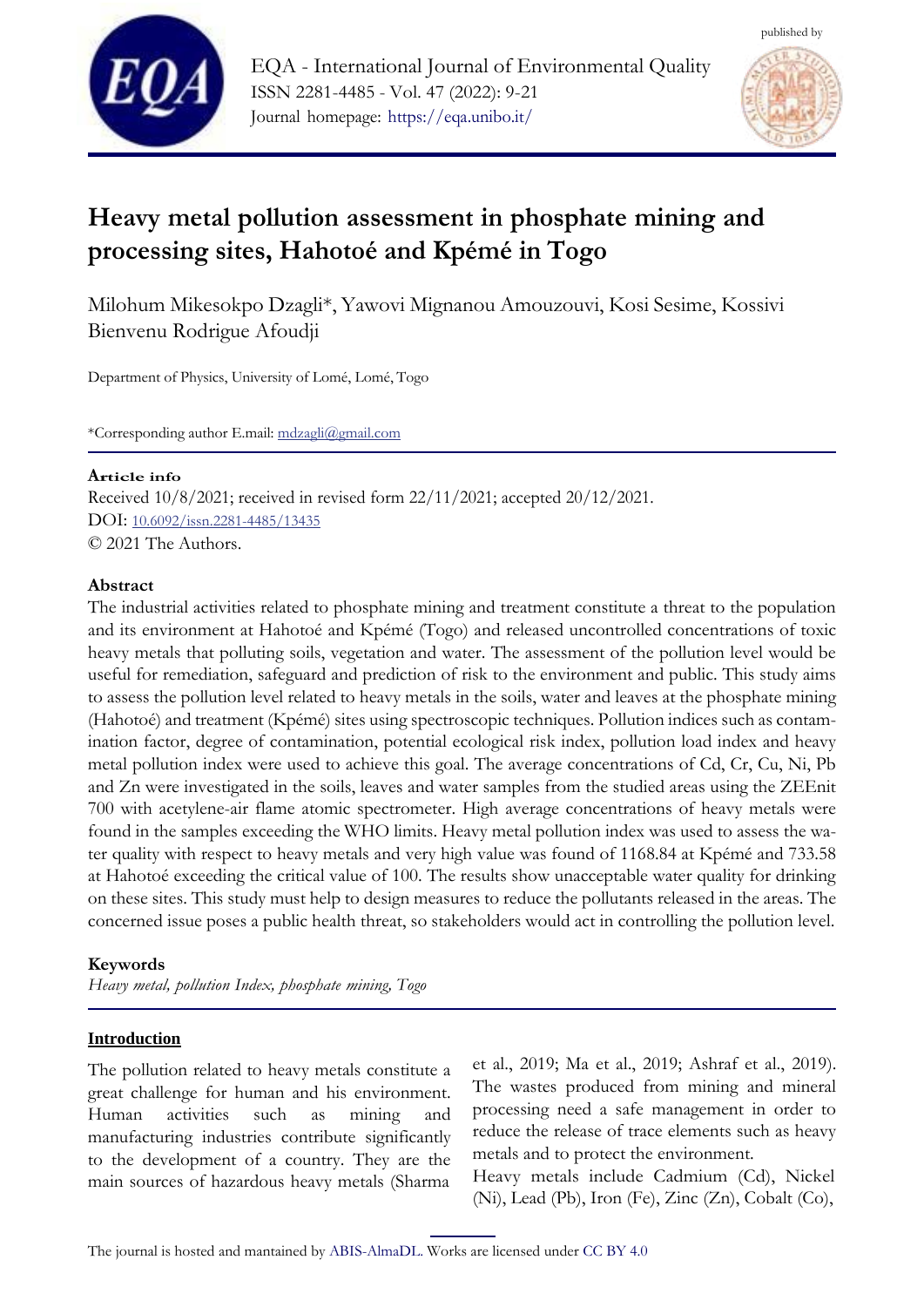



# **Heavy metal pollution assessment in phosphate mining and processing sites, Hahotoé and Kpémé in Togo**

Milohum Mikesokpo Dzagli\*, Yawovi Mignanou Amouzouvi, Kosi Sesime, Kossivi Bienvenu Rodrigue Afoudji

Department of Physics, University of Lomé, Lomé, Togo

\*Corresponding author E.mail: [mdzagli@gmail.com](mailto:mdzagli@gmail.com)

### **<sup>A</sup>rticle info**

Received 10/8/2021; received in revised form 22/11/2021; accepted 20/12/2021. DOI: [10.6092/issn.2281-4485/13435](https://10.0.23.204/issn.2281-4485/13435) © 2021 The Authors.

### **Abstract**

The industrial activities related to phosphate mining and treatment constitute a threat to the population and its environment at Hahotoé and Kpémé (Togo) and released uncontrolled concentrations of toxic heavy metals that polluting soils, vegetation and water. The assessment of the pollution level would be useful for remediation, safeguard and prediction of risk to the environment and public. This study aims to assess the pollution level related to heavy metals in the soils, water and leaves at the phosphate mining (Hahotoé) and treatment (Kpémé) sites using spectroscopic techniques. Pollution indices such as contamination factor, degree of contamination, potential ecological risk index, pollution load index and heavy metal pollution index were used to achieve this goal. The average concentrations of Cd, Cr, Cu, Ni, Pb and Zn were investigated in the soils, leaves and water samples from the studied areas using the ZEEnit 700 with acetylene-air flame atomic spectrometer. High average concentrations of heavy metals were found in the samples exceeding the WHO limits. Heavy metal pollution index was used to assess the water quality with respect to heavy metals and very high value was found of 1168.84 at Kpémé and 733.58 at Hahotoé exceeding the critical value of 100. The results show unacceptable water quality for drinking on these sites. This study must help to design measures to reduce the pollutants released in the areas. The concerned issue poses a public health threat, so stakeholders would act in controlling the pollution level.

# **Keywords**

*Heavy metal, pollution Index, phosphate mining, Togo*

# **Introduction**

The pollution related to heavy metals constitute a great challenge for human and his environment. Human activities such as mining and manufacturing industries contribute significantly to the development of a country. They are the main sources of hazardous heavy metals (Sharma et al., 2019; Ma et al., 2019; Ashraf et al., 2019). The wastes produced from mining and mineral processing need a safe management in order to reduce the release of trace elements such as heavy metals and to protect the environment.

Heavy metals include Cadmium (Cd), Nickel (Ni), Lead (Pb), Iron (Fe), Zinc (Zn), Cobalt (Co),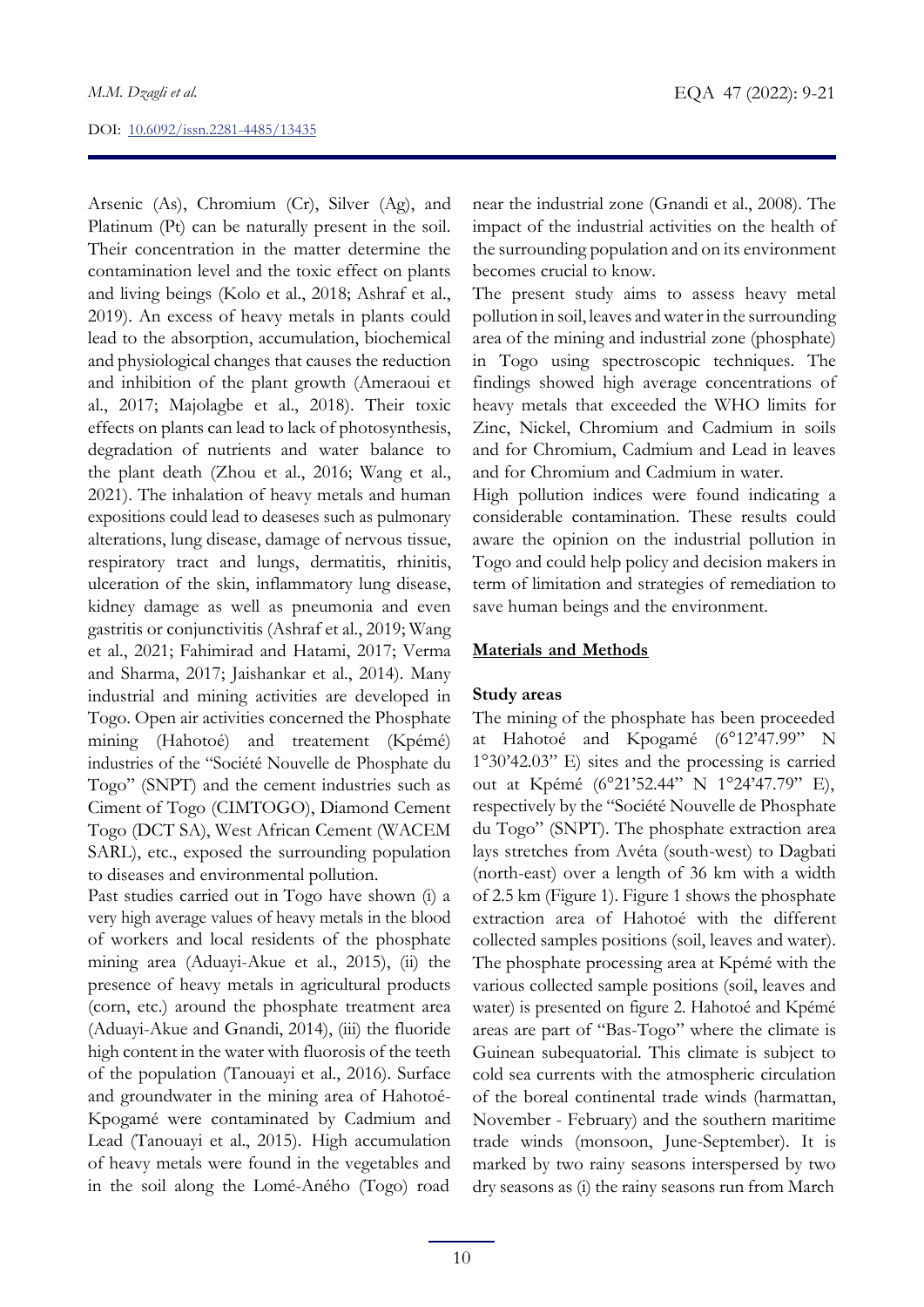Arsenic (As), Chromium (Cr), Silver (Ag), and Platinum (Pt) can be naturally present in the soil. Their concentration in the matter determine the contamination level and the toxic effect on plants and living beings (Kolo et al., 2018; Ashraf et al., 2019). An excess of heavy metals in plants could lead to the absorption, accumulation, biochemical and physiological changes that causes the reduction and inhibition of the plant growth (Ameraoui et al., 2017; Majolagbe et al., 2018). Their toxic effects on plants can lead to lack of photosynthesis, degradation of nutrients and water balance to the plant death (Zhou et al., 2016; Wang et al., 2021). The inhalation of heavy metals and human expositions could lead to deaseses such as pulmonary alterations, lung disease, damage of nervous tissue, respiratory tract and lungs, dermatitis, rhinitis, ulceration of the skin, inflammatory lung disease, kidney damage as well as pneumonia and even gastritis or conjunctivitis (Ashraf et al., 2019; Wang et al., 2021; Fahimirad and Hatami, 2017; Verma and Sharma, 2017; Jaishankar et al., 2014). Many industrial and mining activities are developed in Togo. Open air activities concerned the Phosphate mining (Hahotoé) and treatement (Kpémé) industries of the "Société Nouvelle de Phosphate du Togo" (SNPT) and the cement industries such as Ciment of Togo (CIMTOGO), Diamond Cement Togo (DCT SA), West African Cement (WACEM SARL), etc., exposed the surrounding population to diseases and environmental pollution.

Past studies carried out in Togo have shown (i) a very high average values of heavy metals in the blood of workers and local residents of the phosphate mining area (Aduayi-Akue et al., 2015), (ii) the presence of heavy metals in agricultural products (corn, etc.) around the phosphate treatment area (Aduayi-Akue and Gnandi, 2014), (iii) the fluoride high content in the water with fluorosis of the teeth of the population (Tanouayi et al., 2016). Surface and groundwater in the mining area of Hahotoé-Kpogamé were contaminated by Cadmium and Lead (Tanouayi et al., 2015). High accumulation of heavy metals were found in the vegetables and in the soil along the Lomé-Aného (Togo) road near the industrial zone (Gnandi et al., 2008). The impact of the industrial activities on the health of the surrounding population and on its environment becomes crucial to know.

The present study aims to assess heavy metal pollution in soil, leaves andwaterin the surrounding area of the mining and industrial zone (phosphate) in Togo using spectroscopic techniques. The findings showed high average concentrations of heavy metals that exceeded the WHO limits for Zinc, Nickel, Chromium and Cadmium in soils and for Chromium, Cadmium and Lead in leaves and for Chromium and Cadmium in water.

High pollution indices were found indicating a considerable contamination. These results could aware the opinion on the industrial pollution in Togo and could help policy and decision makers in term of limitation and strategies of remediation to save human beings and the environment.

### **Materials and Methods**

### **Study areas**

The mining of the phosphate has been proceeded at Hahotoé and Kpogamé (6°12'47.99" N 1°30'42.03" E) sites and the processing is carried out at Kpémé (6°21'52.44" N 1°24'47.79" E), respectively by the "Société Nouvelle de Phosphate du Togo" (SNPT). The phosphate extraction area lays stretches from Avéta (south-west) to Dagbati (north-east) over a length of 36 km with a width of 2.5 km (Figure 1). Figure 1 shows the phosphate extraction area of Hahotoé with the different collected samples positions (soil, leaves and water). The phosphate processing area at Kpémé with the various collected sample positions (soil, leaves and water) is presented on figure 2. Hahotoé and Kpémé areas are part of "Bas-Togo" where the climate is Guinean subequatorial. This climate is subject to cold sea currents with the atmospheric circulation of the boreal continental trade winds (harmattan, November - February) and the southern maritime trade winds (monsoon, June-September). It is marked by two rainy seasons interspersed by two dry seasons as (i) the rainy seasons run from March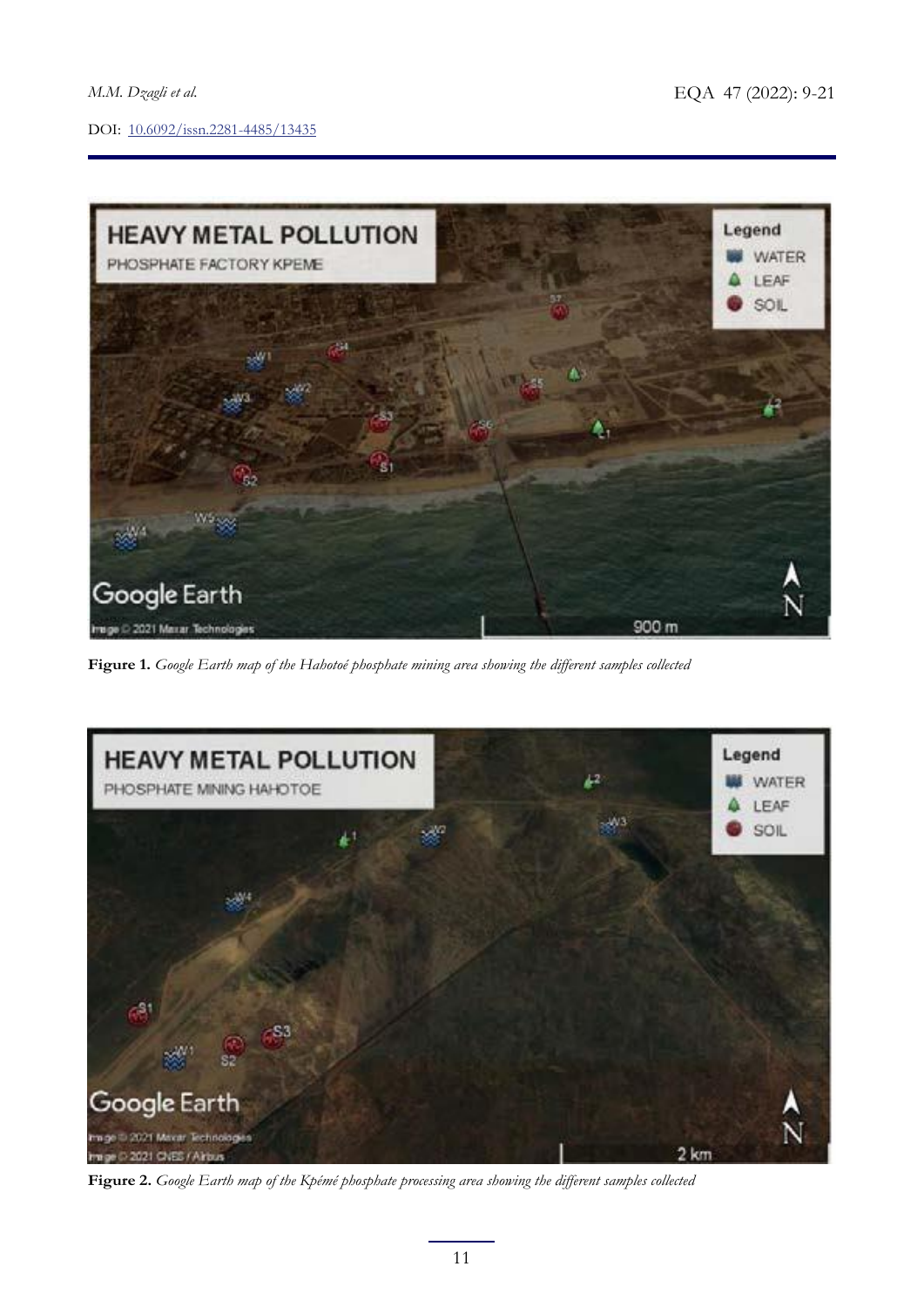

**Figure 1.** *Google Earth map of the Hahotoé phosphate mining area showing the different samples collected*



**Figure 2.** *Google Earth map of the Kpémé phosphate processing area showing the different samples collected*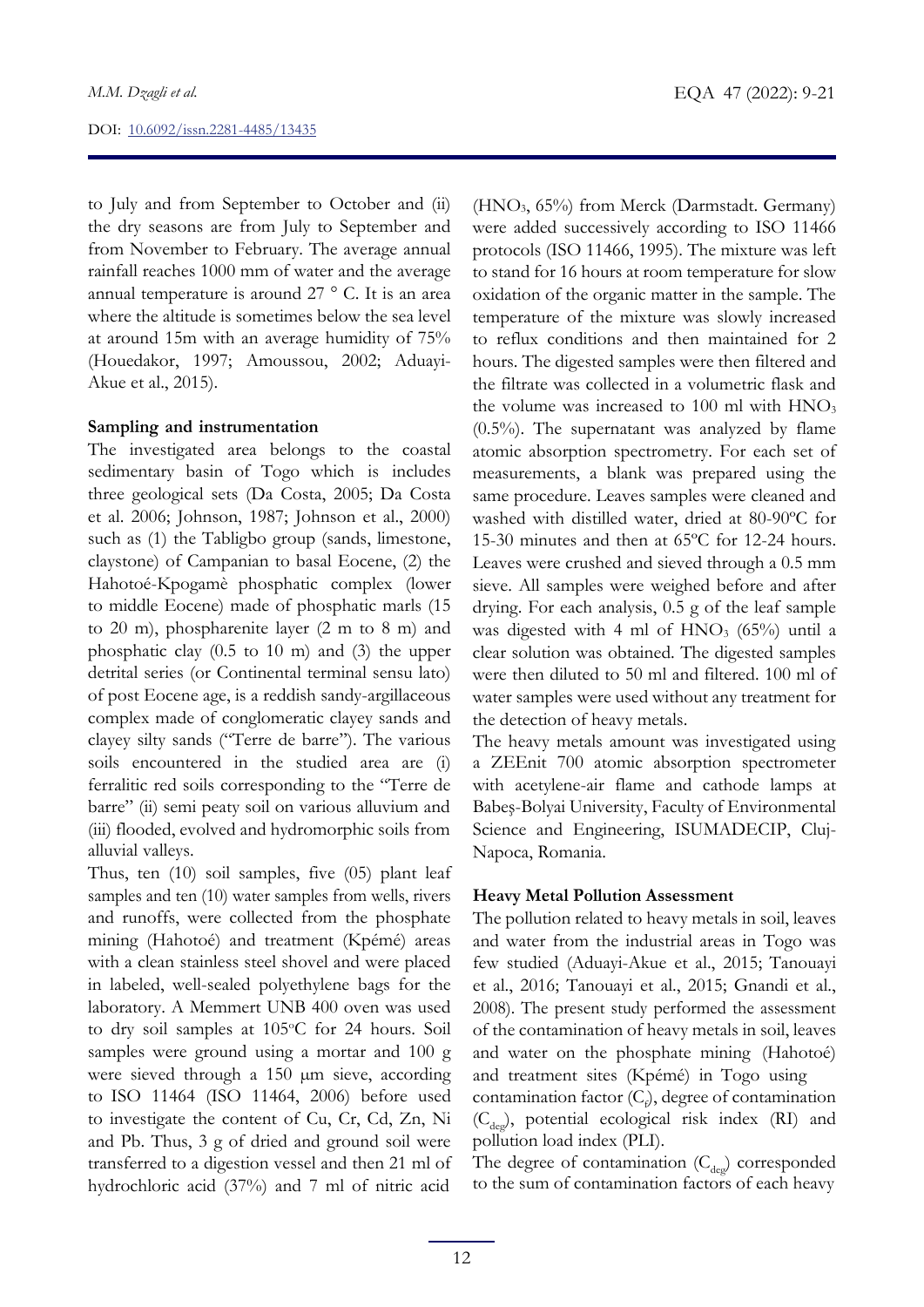to July and from September to October and (ii) the dry seasons are from July to September and from November to February. The average annual rainfall reaches 1000 mm of water and the average annual temperature is around 27 ° C. It is an area where the altitude is sometimes below the sea level at around 15m with an average humidity of 75% (Houedakor, 1997; Amoussou, 2002; Aduayi-Akue et al., 2015).

### **Sampling and instrumentation**

The investigated area belongs to the coastal sedimentary basin of Togo which is includes three geological sets (Da Costa, 2005; Da Costa et al. 2006; Johnson, 1987; Johnson et al., 2000) such as (1) the Tabligbo group (sands, limestone, claystone) of Campanian to basal Eocene, (2) the Hahotoé-Kpogamè phosphatic complex (lower to middle Eocene) made of phosphatic marls (15 to 20 m), phospharenite layer (2 m to 8 m) and phosphatic clay (0.5 to 10 m) and (3) the upper detrital series (or Continental terminal sensu lato) of post Eocene age, is a reddish sandy-argillaceous complex made of conglomeratic clayey sands and clayey silty sands ("Terre de barre''). The various soils encountered in the studied area are (i) ferralitic red soils corresponding to the "Terre de barre" (ii) semi peaty soil on various alluvium and (iii) flooded, evolved and hydromorphic soils from alluvial valleys.

Thus, ten (10) soil samples, five (05) plant leaf samples and ten (10) water samples from wells, rivers and runoffs, were collected from the phosphate mining (Hahotoé) and treatment (Kpémé) areas with a clean stainless steel shovel and were placed in labeled, well-sealed polyethylene bags for the laboratory. A Memmert UNB 400 oven was used to dry soil samples at 105°C for 24 hours. Soil samples were ground using a mortar and 100 g were sieved through a 150 µm sieve, according to ISO 11464 (ISO 11464, 2006) before used to investigate the content of Cu, Cr, Cd, Zn, Ni and Pb. Thus, 3 g of dried and ground soil were transferred to a digestion vessel and then 21 ml of hydrochloric acid (37%) and 7 ml of nitric acid

(HNO3, 65%) from Merck (Darmstadt. Germany) were added successively according to ISO 11466 protocols (ISO 11466, 1995). The mixture was left to stand for 16 hours at room temperature for slow oxidation of the organic matter in the sample. The temperature of the mixture was slowly increased to reflux conditions and then maintained for 2 hours. The digested samples were then filtered and the filtrate was collected in a volumetric flask and the volume was increased to 100 ml with  $HNO<sub>3</sub>$  $(0.5\%)$ . The supernatant was analyzed by flame atomic absorption spectrometry. For each set of measurements, a blank was prepared using the same procedure. Leaves samples were cleaned and washed with distilled water, dried at 80-90ºC for 15-30 minutes and then at 65ºC for 12-24 hours. Leaves were crushed and sieved through a 0.5 mm sieve. All samples were weighed before and after drying. For each analysis, 0.5 g of the leaf sample was digested with 4 ml of  $HNO<sub>3</sub>$  (65%) until a clear solution was obtained. The digested samples were then diluted to 50 ml and filtered. 100 ml of water samples were used without any treatment for the detection of heavy metals.

The heavy metals amount was investigated using a ZEEnit 700 atomic absorption spectrometer with acetylene-air flame and cathode lamps at Babeş-Bolyai University, Faculty of Environmental Science and Engineering, ISUMADECIP, Cluj-Napoca, Romania.

### **Heavy Metal Pollution Assessment**

The pollution related to heavy metals in soil, leaves and water from the industrial areas in Togo was few studied (Aduayi-Akue et al., 2015; Tanouayi et al., 2016; Tanouayi et al., 2015; Gnandi et al., 2008). The present study performed the assessment of the contamination of heavy metals in soil, leaves and water on the phosphate mining (Hahotoé) and treatment sites (Kpémé) in Togo using contamination factor  $(C_f)$ , degree of contamination  $(C_{\text{dec}})$ , potential ecological risk index (RI) and pollution load index (PLI).

The degree of contamination  $(C_{\text{des}})$  corresponded to the sum of contamination factors of each heavy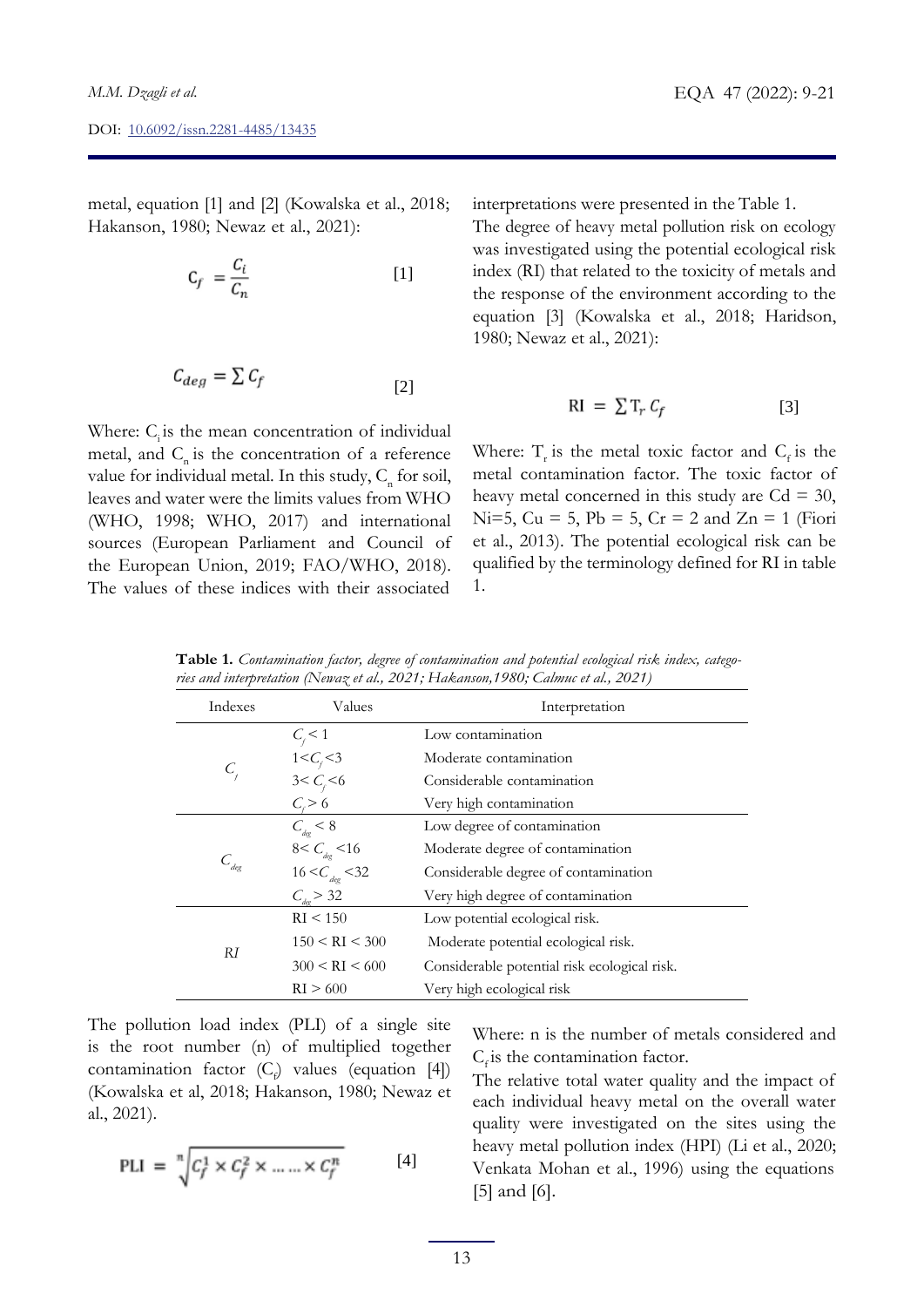metal, equation [1] and [2] (Kowalska et al., 2018; Hakanson, 1980; Newaz et al., 2021):

$$
C_f = \frac{C_i}{C_n} \tag{1}
$$

$$
C_{deg} = \sum C_f \tag{2}
$$

Where:  $C_i$  is the mean concentration of individual metal, and  $C<sub>n</sub>$  is the concentration of a reference value for individual metal. In this study,  $C<sub>n</sub>$  for soil, leaves and water were the limits values from WHO (WHO, 1998; WHO, 2017) and international sources (European Parliament and Council of the European Union, 2019; FAO/WHO, 2018). The values of these indices with their associated

interpretations were presented in the Table 1.

The degree of heavy metal pollution risk on ecology was investigated using the potential ecological risk index (RI) that related to the toxicity of metals and the response of the environment according to the equation [3] (Kowalska et al., 2018; Haridson, 1980; Newaz et al., 2021):

$$
RI = \sum T_r C_f \tag{3}
$$

Where:  $T_r$  is the metal toxic factor and  $C_f$  is the metal contamination factor. The toxic factor of heavy metal concerned in this study are  $Cd = 30$ , Ni=5, Cu = 5, Pb = 5, Cr = 2 and Zn = 1 (Fiori et al., 2013). The potential ecological risk can be qualified by the terminology defined for RI in table 1.

**Table 1.** *Contamination factor, degree of contamination and potential ecological risk index, categories and interpretation (Newaz et al., 2021; Hakanson,1980; Calmuc et al., 2021)*

| Indexes        | Values                    | Interpretation                               |  |  |  |  |
|----------------|---------------------------|----------------------------------------------|--|--|--|--|
|                | $C_{\rm r}$ < 1           | Low contamination                            |  |  |  |  |
|                | $1 < C_{\rm r} < 3$       | Moderate contamination                       |  |  |  |  |
| C              | $3 < C_{i} < 6$           | Considerable contamination                   |  |  |  |  |
|                | $C_{\rm r}$ > 6           | Very high contamination                      |  |  |  |  |
|                | $C_{\text{dec}} < 8$      | Low degree of contamination                  |  |  |  |  |
|                | $8 < C_{\text{deg}} < 16$ | Moderate degree of contamination             |  |  |  |  |
| $C_{\rm deg}$  | $16 < C_{\rm deg} < 32$   | Considerable degree of contamination         |  |  |  |  |
|                | $C_{\text{dec}}$ > 32     | Very high degree of contamination            |  |  |  |  |
|                | RI < 150                  | Low potential ecological risk.               |  |  |  |  |
| R <sub>I</sub> | 150 < RI < 300            | Moderate potential ecological risk.          |  |  |  |  |
|                | 300 < RI < 600            | Considerable potential risk ecological risk. |  |  |  |  |
|                | RI > 600                  | Very high ecological risk                    |  |  |  |  |

The pollution load index (PLI) of a single site is the root number (n) of multiplied together contamination factor  $(C_f)$  values (equation [4]) (Kowalska et al, 2018; Hakanson, 1980; Newaz et al., 2021).

$$
\text{PLI} = \sqrt[n]{c_f^1 \times c_f^2 \times \dots \times c_f^n} \tag{4}
$$

Where: n is the number of metals considered and  $C_f$  is the contamination factor.

The relative total water quality and the impact of each individual heavy metal on the overall water quality were investigated on the sites using the heavy metal pollution index (HPI) (Li et al., 2020; Venkata Mohan et al., 1996) using the equations [5] and [6].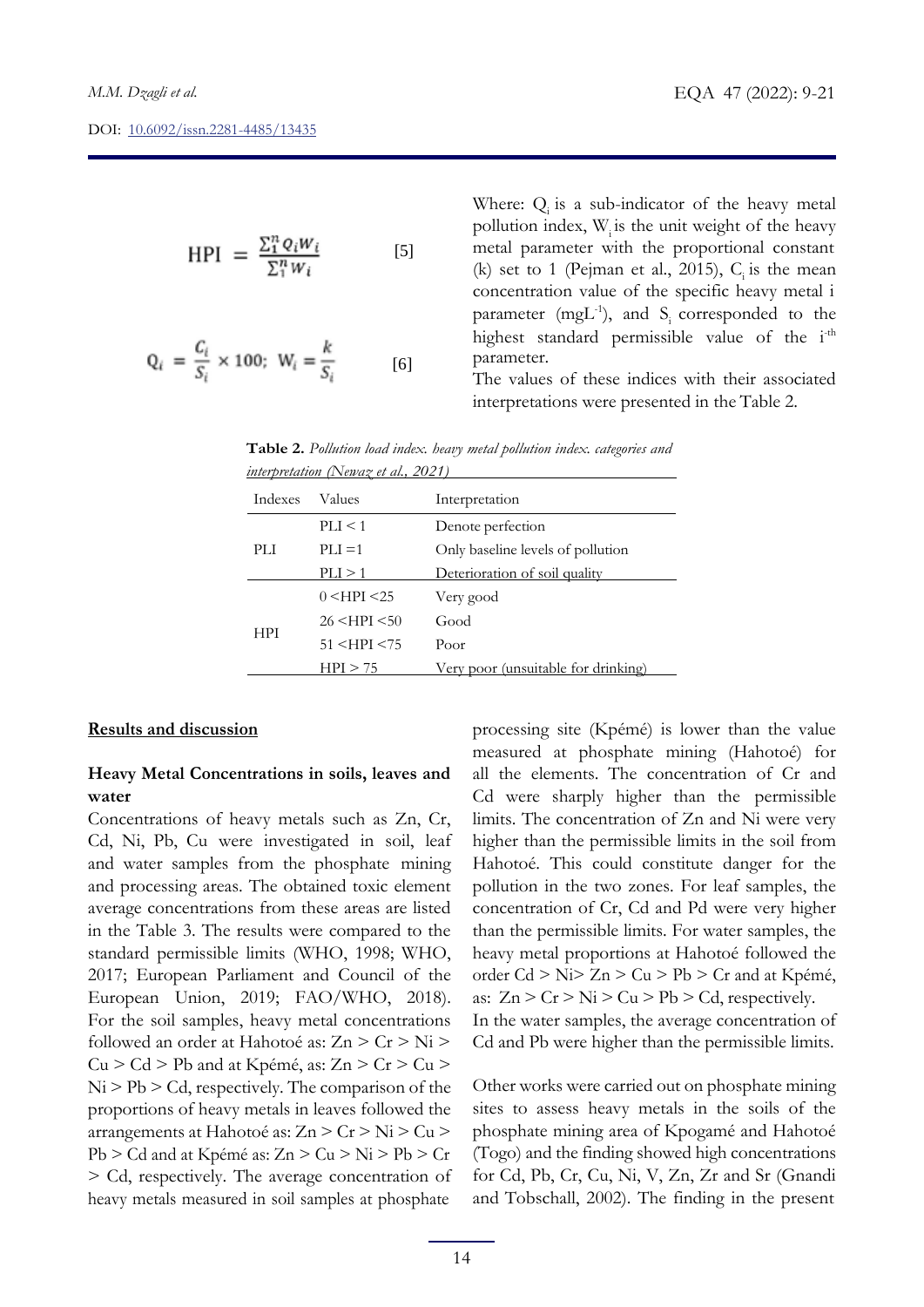$$
HPI = \frac{\sum_{i}^{n} Q_i W_i}{\sum_{i}^{n} W_i}
$$
 [5]

$$
Q_i = \frac{C_i}{S_i} \times 100; \ W_i = \frac{k}{S_i} \tag{6}
$$

Where:  $Q_i$  is a sub-indicator of the heavy metal pollution index,  $W_i$  is the unit weight of the heavy metal parameter with the proportional constant (k) set to 1 (Pejman et al., 2015),  $C_i$  is the mean concentration value of the specific heavy metal i parameter (mgL $^{-1}$ ), and S<sub>i</sub> corresponded to the highest standard permissible value of the i<sup>-th</sup> parameter.

The values of these indices with their associated interpretations were presented in the Table 2.

| Table 2. Pollution load index. heavy metal pollution index. categories and |  |  |  |
|----------------------------------------------------------------------------|--|--|--|
| <i>interpretation</i> (Newaz et al., 2021)                                 |  |  |  |

| <b>Indexes</b> | Values        | Interpretation                      |  |  |  |
|----------------|---------------|-------------------------------------|--|--|--|
|                | PIJ < 1       | Denote perfection                   |  |  |  |
| PLI            | $PLI=1$       | Only baseline levels of pollution   |  |  |  |
|                | PLI > 1       | Deterioration of soil quality       |  |  |  |
| <b>HPI</b>     | 0 < HPI < 25  | Very good                           |  |  |  |
|                | 26 < HPI < 50 | Good                                |  |  |  |
|                | 51 < HPI < 75 | Poor                                |  |  |  |
|                | HPI > 75      | Very poor (unsuitable for drinking) |  |  |  |

#### **Results and discussion**

### **Heavy Metal Concentrations in soils, leaves and water**

Concentrations of heavy metals such as Zn, Cr, Cd, Ni, Pb, Cu were investigated in soil, leaf and water samples from the phosphate mining and processing areas. The obtained toxic element average concentrations from these areas are listed in the Table 3. The results were compared to the standard permissible limits (WHO, 1998; WHO, 2017; European Parliament and Council of the European Union, 2019; FAO/WHO, 2018). For the soil samples, heavy metal concentrations followed an order at Hahotoé as: Zn > Cr > Ni >  $Cu > Cd > Pb$  and at Kpémé, as:  $Zn > Cr > Cu >$  $Ni > Pb > Cd$ , respectively. The comparison of the proportions of heavy metals in leaves followed the arrangements at Hahotoé as:  $Zn > Cr > Ni > Cu >$ Pb > Cd and at Kpémé as: Zn > Cu > Ni > Pb > Cr > Cd, respectively. The average concentration of heavy metals measured in soil samples at phosphate

processing site (Kpémé) is lower than the value measured at phosphate mining (Hahotoé) for all the elements. The concentration of Cr and Cd were sharply higher than the permissible limits. The concentration of Zn and Ni were very higher than the permissible limits in the soil from Hahotoé. This could constitute danger for the pollution in the two zones. For leaf samples, the concentration of Cr, Cd and Pd were very higher than the permissible limits. For water samples, the heavy metal proportions at Hahotoé followed the order Cd > Ni> Zn > Cu > Pb > Cr and at Kpémé, as:  $Z_n$  >  $C_r$  >  $Ni$  >  $Cu$  >  $Pb$  >  $Cd$ , respectively. In the water samples, the average concentration of Cd and Pb were higher than the permissible limits.

Other works were carried out on phosphate mining sites to assess heavy metals in the soils of the phosphate mining area of Kpogamé and Hahotoé (Togo) and the finding showed high concentrations for Cd, Pb, Cr, Cu, Ni, V, Zn, Zr and Sr (Gnandi and Tobschall, 2002). The finding in the present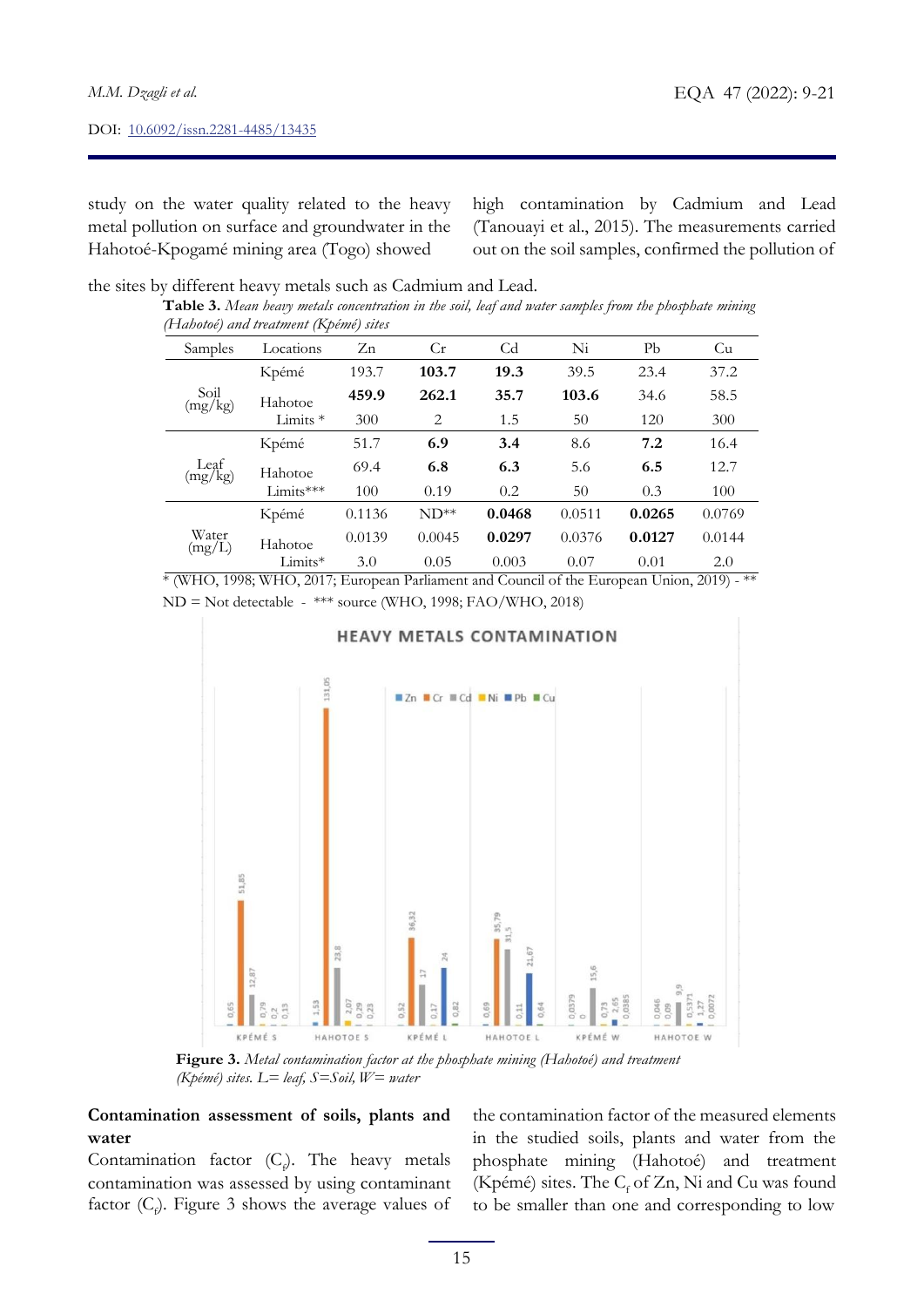study on the water quality related to the heavy metal pollution on surface and groundwater in the Hahotoé-Kpogamé mining area (Togo) showed

high contamination by Cadmium and Lead (Tanouayi et al., 2015). The measurements carried out on the soil samples, confirmed the pollution of

the sites by different heavy metals such as Cadmium and Lead.

|  | Table 3. Mean heavy metals concentration in the soil, leaf and water samples from the phosphate mining |  |  |  |
|--|--------------------------------------------------------------------------------------------------------|--|--|--|
|  | (Hahotoé) and treatment (Kpémé) sites                                                                  |  |  |  |

| Samples                      | Locations   | Zn     | Cr     | Cd     | Ni     | Pb     | Cu     |
|------------------------------|-------------|--------|--------|--------|--------|--------|--------|
| Soil<br>(mg/kg)              | Kpémé       | 193.7  | 103.7  | 19.3   | 39.5   | 23.4   | 37.2   |
|                              | Hahotoe     | 459.9  | 262.1  | 35.7   | 103.6  | 34.6   | 58.5   |
|                              | Limits $*$  | 300    | 2      | 1.5    | 50     | 120    | 300    |
| Leaf<br>(mg/kg)              | Kpémé       | 51.7   | 6.9    | 3.4    | 8.6    | 7.2    | 16.4   |
|                              | Hahotoe     | 69.4   | 6.8    | 6.3    | 5.6    | 6.5    | 12.7   |
|                              | $Limits***$ | 100    | 0.19   | 0.2    | 50     | 0.3    | 100    |
| Water<br>$(mg/\overline{L})$ | Kpémé       | 0.1136 | $ND**$ | 0.0468 | 0.0511 | 0.0265 | 0.0769 |
|                              | Hahotoe     | 0.0139 | 0.0045 | 0.0297 | 0.0376 | 0.0127 | 0.0144 |
|                              | Limits*     | 3.0    | 0.05   | 0.003  | 0.07   | 0.01   | 2.0    |

\* (WHO, 1998; WHO, 2017; European Parliament and Council of the European Union, 2019) - \*\* ND = Not detectable - \*\*\* source (WHO, 1998; FAO/WHO, 2018)



**Figure 3.** *Metal contamination factor at the phosphate mining (Hahotoé) and treatment (Kpémé) sites. L= leaf, S=Soil, W= water*

# **Contamination assessment of soils, plants and water**

Contamination factor  $(C_f)$ . The heavy metals contamination was assessed by using contaminant factor ( $C$ <sub> $\rho$ </sub>). Figure 3 shows the average values of

the contamination factor of the measured elements in the studied soils, plants and water from the phosphate mining (Hahotoé) and treatment (Kpémé) sites. The  $C_f$  of Zn, Ni and Cu was found to be smaller than one and corresponding to low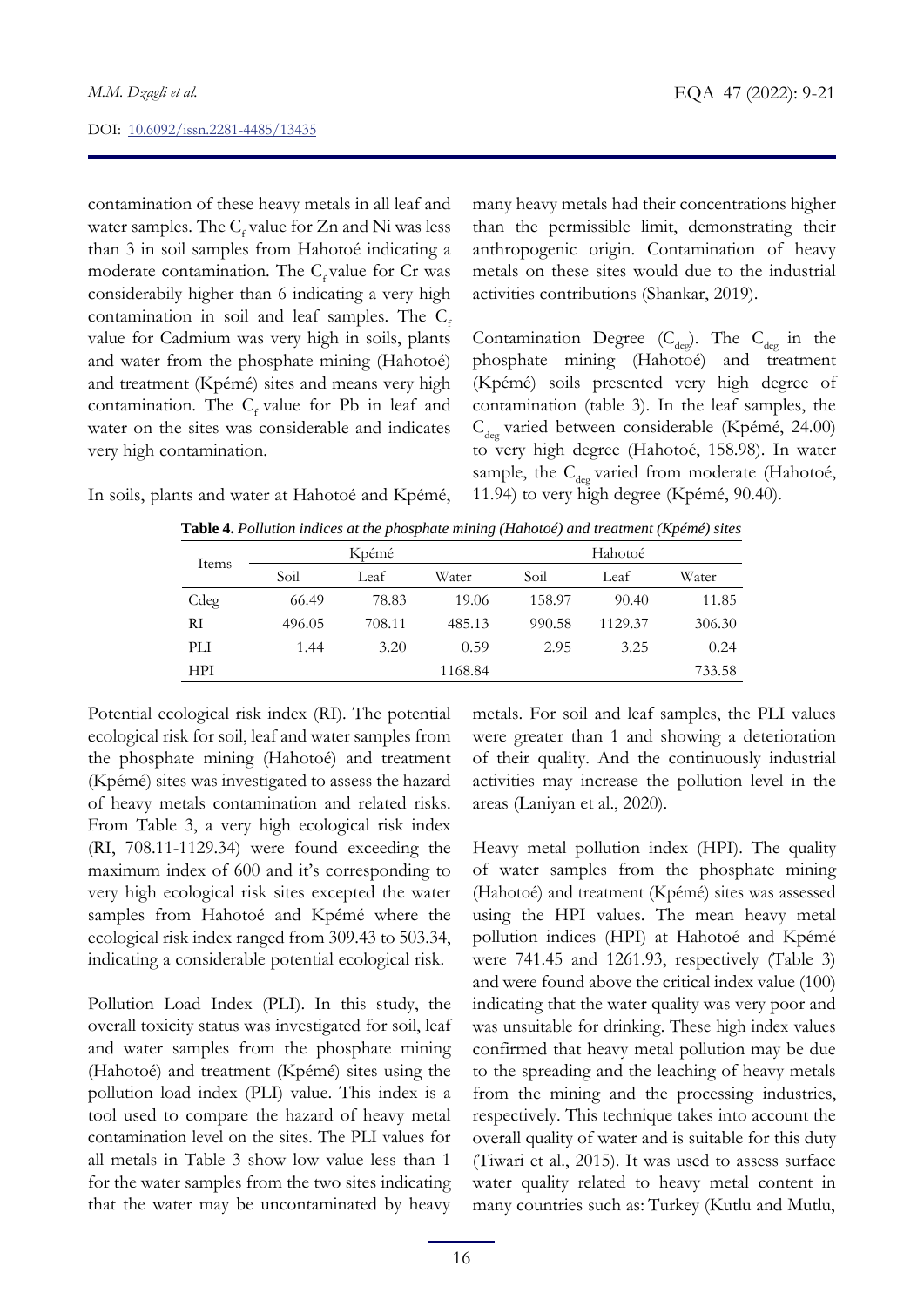contamination of these heavy metals in all leaf and water samples. The  $C_f$  value for Zn and Ni was less than 3 in soil samples from Hahotoé indicating a moderate contamination. The  $C_f$  value for Cr was considerabily higher than 6 indicating a very high contamination in soil and leaf samples. The  $C_f$ value for Cadmium was very high in soils, plants and water from the phosphate mining (Hahotoé) and treatment (Kpémé) sites and means very high contamination. The  $C_f$  value for Pb in leaf and water on the sites was considerable and indicates very high contamination.

many heavy metals had their concentrations higher than the permissible limit, demonstrating their anthropogenic origin. Contamination of heavy metals on these sites would due to the industrial activities contributions (Shankar, 2019).

Contamination Degree  $(C_{\text{deg}})$ . The  $C_{\text{deg}}$  in the phosphate mining (Hahotoé) and treatment (Kpémé) soils presented very high degree of contamination (table 3). In the leaf samples, the  $C_{\text{dee}}$  varied between considerable (Kpémé, 24.00) to very high degree (Hahotoé, 158.98). In water sample, the  $C_{\text{dec}}$  varied from moderate (Hahotoé, 11.94) to very high degree (Kpémé, 90.40).

In soils, plants and water at Hahotoé and Kpémé,

|            |        |        | $\sim$  |         |         |        |  |
|------------|--------|--------|---------|---------|---------|--------|--|
| Items      |        | Kpémé  |         | Hahotoé |         |        |  |
|            | Soil   | Leaf   | Water   | Soil    | Leaf    | Water  |  |
| Cdeg       | 66.49  | 78.83  | 19.06   | 158.97  | 90.40   | 11.85  |  |
| RI         | 496.05 | 708.11 | 485.13  | 990.58  | 1129.37 | 306.30 |  |
| PLI        | 1.44   | 3.20   | 0.59    | 2.95    | 3.25    | 0.24   |  |
| <b>HPI</b> |        |        | 1168.84 |         |         | 733.58 |  |

**Table 4.** *Pollution indices at the phosphate mining (Hahotoé) and treatment (Kpémé) sites*

Potential ecological risk index (RI). The potential ecological risk for soil, leaf and water samples from the phosphate mining (Hahotoé) and treatment (Kpémé) sites was investigated to assess the hazard of heavy metals contamination and related risks. From Table 3, a very high ecological risk index (RI, 708.11-1129.34) were found exceeding the maximum index of 600 and it's corresponding to very high ecological risk sites excepted the water samples from Hahotoé and Kpémé where the ecological risk index ranged from 309.43 to 503.34, indicating a considerable potential ecological risk.

Pollution Load Index (PLI). In this study, the overall toxicity status was investigated for soil, leaf and water samples from the phosphate mining (Hahotoé) and treatment (Kpémé) sites using the pollution load index (PLI) value. This index is a tool used to compare the hazard of heavy metal contamination level on the sites. The PLI values for all metals in Table 3 show low value less than 1 for the water samples from the two sites indicating that the water may be uncontaminated by heavy metals. For soil and leaf samples, the PLI values were greater than 1 and showing a deterioration of their quality. And the continuously industrial activities may increase the pollution level in the areas (Laniyan et al., 2020).

Heavy metal pollution index (HPI). The quality of water samples from the phosphate mining (Hahotoé) and treatment (Kpémé) sites was assessed using the HPI values. The mean heavy metal pollution indices (HPI) at Hahotoé and Kpémé were 741.45 and 1261.93, respectively (Table 3) and were found above the critical index value (100) indicating that the water quality was very poor and was unsuitable for drinking. These high index values confirmed that heavy metal pollution may be due to the spreading and the leaching of heavy metals from the mining and the processing industries, respectively. This technique takes into account the overall quality of water and is suitable for this duty (Tiwari et al., 2015). It was used to assess surface water quality related to heavy metal content in many countries such as: Turkey (Kutlu and Mutlu,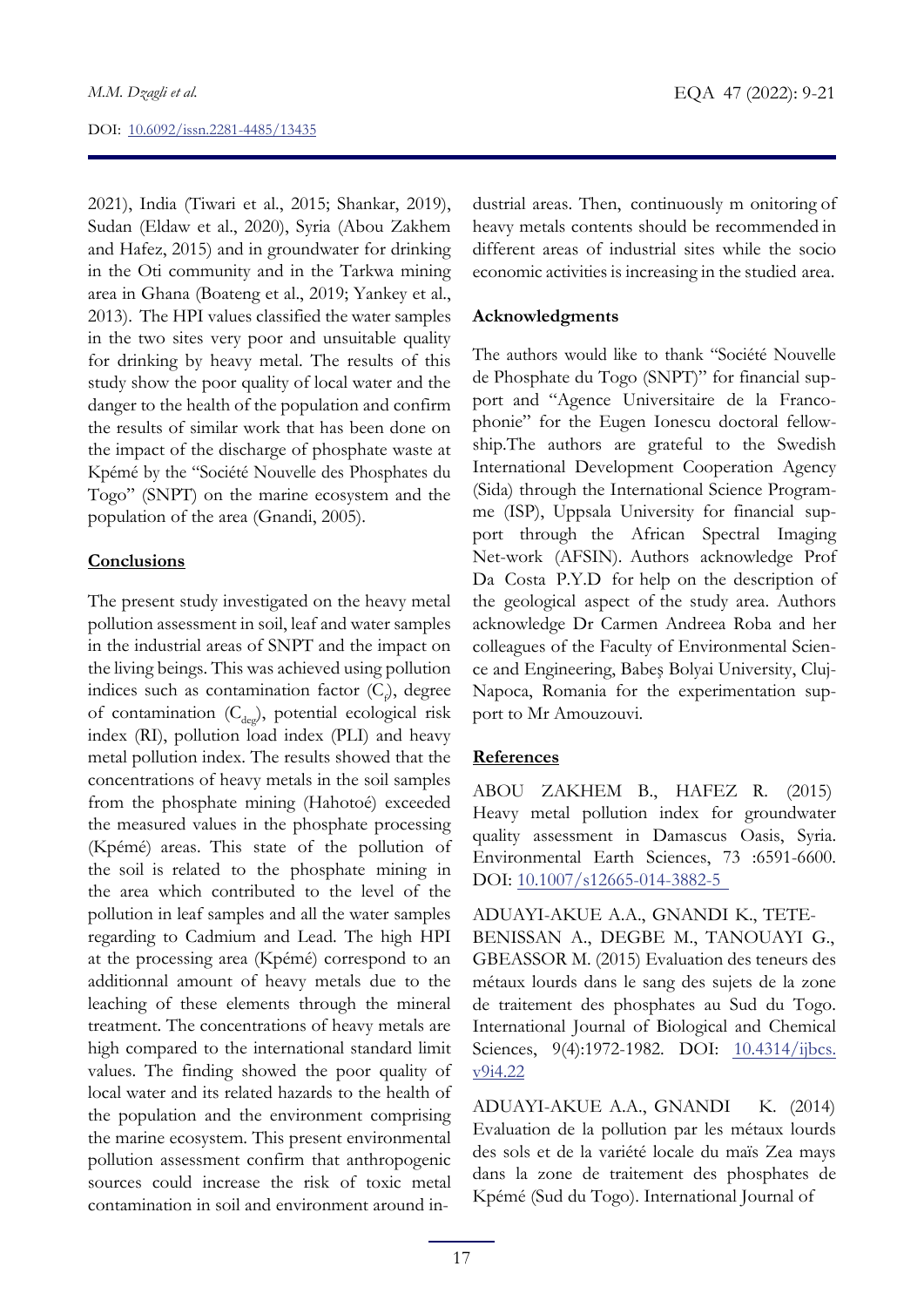2021), India (Tiwari et al., 2015; Shankar, 2019), Sudan (Eldaw et al., 2020), Syria (Abou Zakhem and Hafez, 2015) and in groundwater for drinking in the Oti community and in the Tarkwa mining area in Ghana (Boateng et al., 2019; Yankey et al., 2013). The HPI values classified the water samples in the two sites very poor and unsuitable quality for drinking by heavy metal. The results of this study show the poor quality of local water and the danger to the health of the population and confirm the results of similar work that has been done on the impact of the discharge of phosphate waste at Kpémé by the "Société Nouvelle des Phosphates du Togo" (SNPT) on the marine ecosystem and the population of the area (Gnandi, 2005).

### **Conclusions**

The present study investigated on the heavy metal pollution assessment in soil, leaf and water samples in the industrial areas of SNPT and the impact on the living beings. This was achieved using pollution indices such as contamination factor  $(C_\rho)$ , degree of contamination  $(C_{\text{dec}})$ , potential ecological risk index (RI), pollution load index (PLI) and heavy metal pollution index. The results showed that the concentrations of heavy metals in the soil samples from the phosphate mining (Hahotoé) exceeded the measured values in the phosphate processing (Kpémé) areas. This state of the pollution of the soil is related to the phosphate mining in the area which contributed to the level of the pollution in leaf samples and all the water samples regarding to Cadmium and Lead. The high HPI at the processing area (Kpémé) correspond to an additionnal amount of heavy metals due to the leaching of these elements through the mineral treatment. The concentrations of heavy metals are high compared to the international standard limit values. The finding showed the poor quality of local water and its related hazards to the health of the population and the environment comprising the marine ecosystem. This present environmental pollution assessment confirm that anthropogenic sources could increase the risk of toxic metal contamination in soil and environment around in-

dustrial areas. Then, continuously m onitoring of heavy metals contents should be recommended in different areas of industrial sites while the socio economic activities is increasing in the studied area.

## **Acknowledgments**

The authors would like to thank "Société Nouvelle de Phosphate du Togo (SNPT)" for financial support and "Agence Universitaire de la Francophonie" for the Eugen Ionescu doctoral fellowship.The authors are grateful to the Swedish International Development Cooperation Agency (Sida) through the International Science Programme (ISP), Uppsala University for financial support through the African Spectral Imaging Net-work (AFSIN). Authors acknowledge Prof Da Costa P.Y.D for help on the description of the geological aspect of the study area. Authors acknowledge Dr Carmen Andreea Roba and her colleagues of the Faculty of Environmental Science and Engineering, Babeş Bolyai University, Cluj-Napoca, Romania for the experimentation support to Mr Amouzouvi.

# **References**

ABOU ZAKHEM B., HAFEZ R. (2015) Heavy metal pollution index for groundwater quality assessment in Damascus Oasis, Syria. Environmental Earth Sciences, 73 :6591-6600. DOI: [10.1007/s12665-014-3882-5](https://doi.org/10.1007/s12665-014-3882-5)

ADUAYI-AKUE A.A., GNANDI K., TETE-BENISSAN A., DEGBE M., TANOUAYI G., GBEASSOR M. (2015) Evaluation des teneurs des métaux lourds dans le sang des sujets de la zone de traitement des phosphates au Sud du Togo. International Journal of Biological and Chemical Sciences, 9(4):1972-1982. DOI: [10.4314/ijbcs.](https://doi.org/10.4314/ijbcs.v9i4.22) [v9i4.22](https://doi.org/10.4314/ijbcs.v9i4.22)

ADUAYI-AKUE A.A., GNANDI K. (2014) Evaluation de la pollution par les métaux lourds des sols et de la variété locale du maïs Zea mays dans la zone de traitement des phosphates de Kpémé (Sud du Togo). International Journal of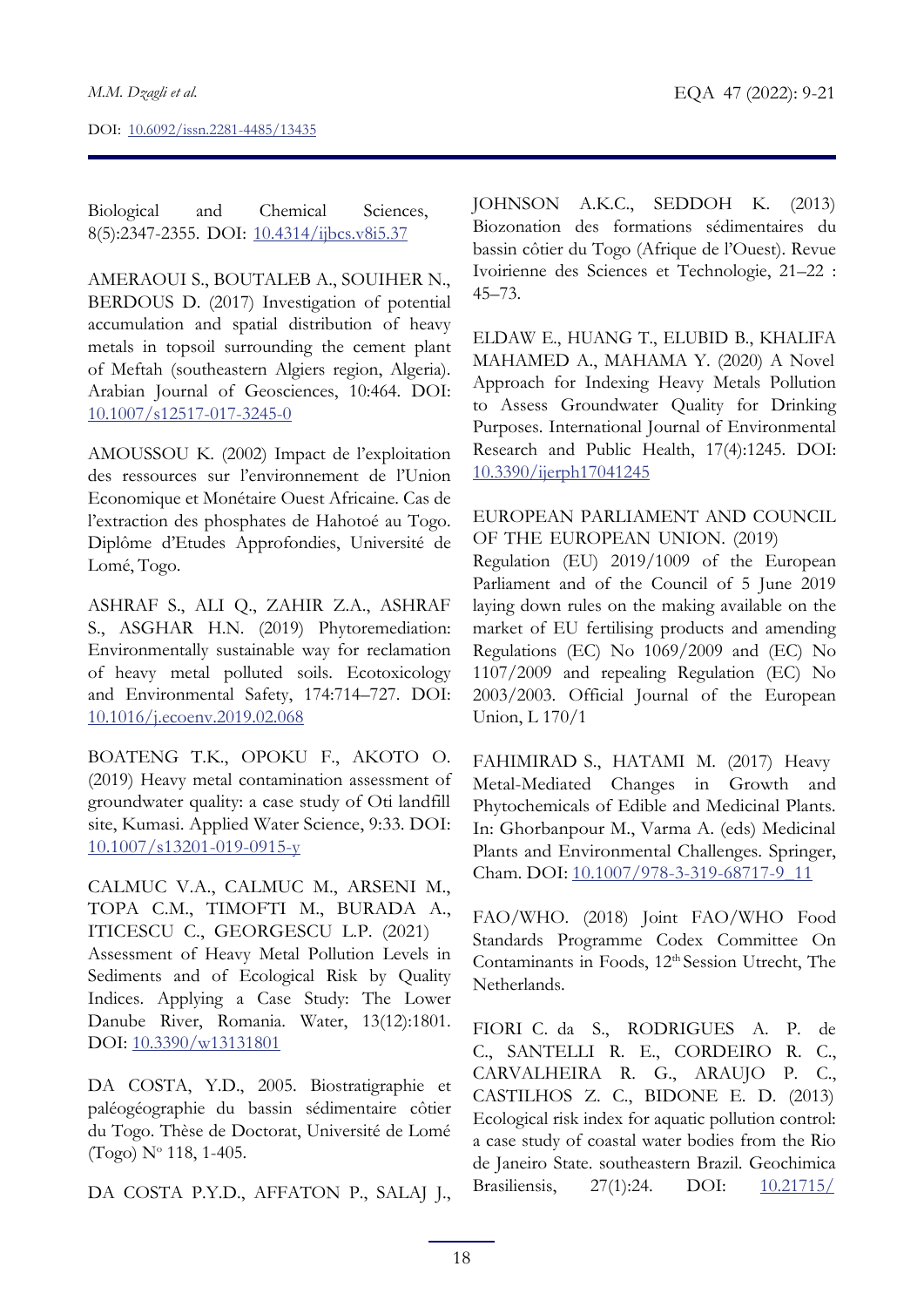Biological and Chemical Sciences, 8(5):2347-2355. DOI: [10.4314/ijbcs.v8i5.37](https://doi.org/10.4314/ijbcs.v8i5.37)

AMERAOUI S., BOUTALEB A., SOUIHER N., BERDOUS D. (2017) Investigation of potential accumulation and spatial distribution of heavy metals in topsoil surrounding the cement plant of Meftah (southeastern Algiers region, Algeria). Arabian Journal of Geosciences, 10:464. DOI: [10.1007/s12517-017-3245-0](https://doi.org/10.1007/s12517-017-3245-0)

AMOUSSOU K. (2002) Impact de l'exploitation des ressources sur l'environnement de l'Union Economique et Monétaire Ouest Africaine. Cas de l'extraction des phosphates de Hahotoé au Togo. Diplôme d'Etudes Approfondies, Université de Lomé, Togo.

ASHRAF S., ALI Q., ZAHIR Z.A., ASHRAF S., ASGHAR H.N. (2019) Phytoremediation: Environmentally sustainable way for reclamation of heavy metal polluted soils. Ecotoxicology and Environmental Safety, 174:714–727. DOI: [10.1016/j.ecoenv.2019.02.068](https://doi.org/10.1016/j.ecoenv.2019.02.068)

BOATENG T.K., OPOKU F., AKOTO O. (2019) Heavy metal contamination assessment of groundwater quality: a case study of Oti landfill site, Kumasi. Applied Water Science, 9:33. DOI: [10.1007/s13201-019-0915-y](https://doi.org/10.1007/s13201-019-0915-y)

CALMUC V.A., CALMUC M., ARSENI M., TOPA C.M., TIMOFTI M., BURADA A., ITICESCU C., GEORGESCU L.P. (2021) Assessment of Heavy Metal Pollution Levels in Sediments and of Ecological Risk by Quality Indices. Applying a Case Study: The Lower Danube River, Romania. Water, 13(12):1801. DOI: [10.3390/w13131801](https://doi.org/10.3390/w13131801)

DA COSTA, Y.D., 2005. Biostratigraphie et paléogéographie du bassin sédimentaire côtier du Togo. Thèse de Doctorat, Université de Lomé (Togo)  $N^{\circ}$  118, 1-405.

DA COSTA P.Y.D., AFFATON P., SALAJ J.,

JOHNSON A.K.C., SEDDOH K. (2013) Biozonation des formations sédimentaires du bassin côtier du Togo (Afrique de l'Ouest). Revue Ivoirienne des Sciences et Technologie, 21–22 : 45–73.

ELDAW E., HUANG T., ELUBID B., KHALIFA MAHAMED A., MAHAMA Y. (2020) A Novel Approach for Indexing Heavy Metals Pollution to Assess Groundwater Quality for Drinking Purposes. International Journal of Environmental Research and Public Health, 17(4):1245. DOI: [10.3390/ijerph17041245](http://doi.org/10.3390/ijerph17041245)

# EUROPEAN PARLIAMENT AND COUNCIL OF THE EUROPEAN UNION. (2019)

Regulation (EU) 2019/1009 of the European Parliament and of the Council of 5 June 2019 laying down rules on the making available on the market of EU fertilising products and amending Regulations (EC) No 1069/2009 and (EC) No 1107/2009 and repealing Regulation (EC) No 2003/2003. Official Journal of the European Union, L 170/1

FAHIMIRAD S., HATAMI M. (2017) Heavy Metal-Mediated Changes in Growth and Phytochemicals of Edible and Medicinal Plants. In: Ghorbanpour M., Varma A. (eds) Medicinal Plants and Environmental Challenges. Springer, Cham. DOI: [10.1007/978-3-319-68717-9\\_11](https://doi.org/10.1007/978-3-319-68717-9_11)

FAO/WHO. (2018) Joint FAO/WHO Food Standards Programme Codex Committee On Contaminants in Foods, 12<sup>th</sup> Session Utrecht, The Netherlands.

FIORI C. da S., RODRIGUES A. P. de C., SANTELLI R. E., CORDEIRO R. C., CARVALHEIRA R. G., ARAUJO P. C., CASTILHOS Z. C., BIDONE E. D. (2013) Ecological risk index for aquatic pollution control: a case study of coastal water bodies from the Rio de Janeiro State. southeastern Brazil. Geochimica Brasiliensis, 27(1):24. DOI: [10.21715/](http://dx.doi.org/10.21715/gb.v27i1.386)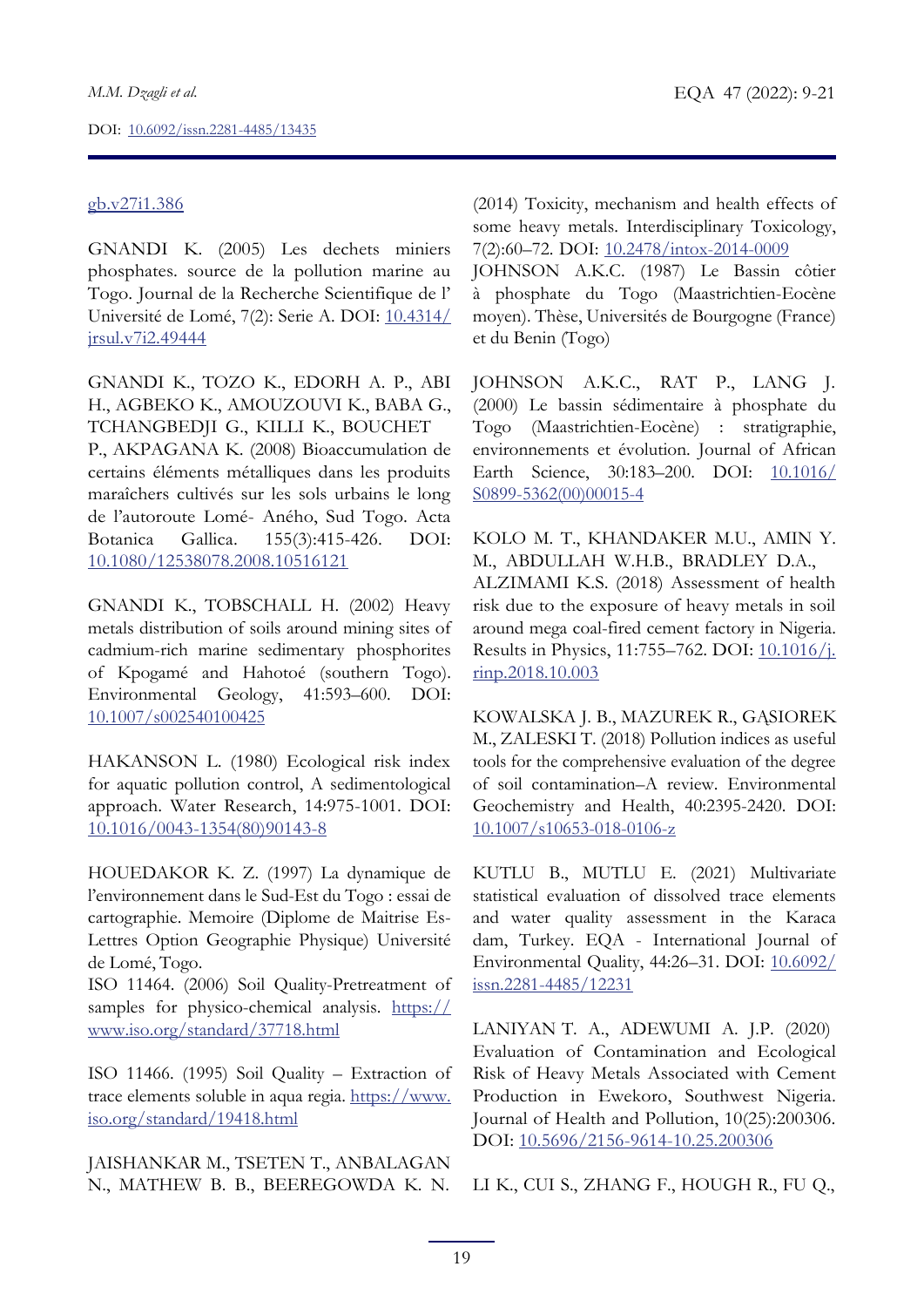# [gb.v27i1.386](http://dx.doi.org/10.21715/gb.v27i1.386)

GNANDI K. (2005) Les dechets miniers phosphates. source de la pollution marine au Togo. Journal de la Recherche Scientifique de l' Université de Lomé, 7(2): Serie A. DOI: [10.4314/](http://dx.doi.org/10.4314/jrsul.v7i2.49444) [jrsul.v7i2.49444](http://dx.doi.org/10.4314/jrsul.v7i2.49444)

GNANDI K., TOZO K., EDORH A. P., ABI H., AGBEKO K., AMOUZOUVI K., BABA G., TCHANGBEDJI G., KILLI K., BOUCHET P., AKPAGANA K. (2008) Bioaccumulation de certains éléments métalliques dans les produits maraîchers cultivés sur les sols urbains le long de l'autoroute Lomé- Aného, Sud Togo. Acta Botanica Gallica. 155(3):415-426. DOI: [10.1080/12538078.2008.10516121](https://doi.org/10.1080/12538078.2008.10516121)

GNANDI K., TOBSCHALL H. (2002) Heavy metals distribution of soils around mining sites of cadmium-rich marine sedimentary phosphorites of Kpogamé and Hahotoé (southern Togo). Environmental Geology, 41:593–600. DOI: [10.1007/s002540100425](https://doi.org/10.1007/s002540100425)

HAKANSON L. (1980) Ecological risk index for aquatic pollution control, A sedimentological approach. Water Research, 14:975-1001. DOI: [10.1016/0043-1354\(80\)90143-8](https://doi.org/10.1016/0043-1354(80)90143-8)

HOUEDAKOR K. Z. (1997) La dynamique de l'environnement dans le Sud-Est du Togo : essai de cartographie. Memoire (Diplome de Maitrise Es-Lettres Option Geographie Physique) Université de Lomé, Togo.

ISO 11464. (2006) Soil Quality-Pretreatment of samples for physico-chemical analysis. [https://](https://www.iso.org/standard/37718.html) [www.iso.org/standard/37718.html](https://www.iso.org/standard/37718.html)

ISO 11466. (1995) Soil Quality – Extraction of trace elements soluble in aqua regia. [https://www.](https://www.iso.org/standard/19418.html) [iso.org/standard/19418.html](https://www.iso.org/standard/19418.html)

JAISHANKAR M., TSETEN T., ANBALAGAN N., MATHEW B. B., BEEREGOWDA K. N. (2014) Toxicity, mechanism and health effects of some heavy metals. Interdisciplinary Toxicology, 7(2):60–72. DOI: [10.2478/intox-2014-0009](https://dx.doi.org/10.2478%2Fintox-2014-0009)

JOHNSON A.K.C. (1987) Le Bassin côtier à phosphate du Togo (Maastrichtien-Eocène moyen). Thèse, Universités de Bourgogne (France) et du Benin (Togo)

JOHNSON A.K.C., RAT P., LANG J. (2000) Le bassin sédimentaire à phosphate du Togo (Maastrichtien-Eocène) : stratigraphie, environnements et évolution. Journal of African Earth Science, 30:183–200. DOI: [10.1016/](http://dx.doi.org/10.1016/S0899-5362(00)00015-4) [S0899-5362\(00\)00015-4](http://dx.doi.org/10.1016/S0899-5362(00)00015-4)

KOLO M. T., KHANDAKER M.U., AMIN Y. M., ABDULLAH W.H.B., BRADLEY D.A., ALZIMAMI K.S. (2018) Assessment of health risk due to the exposure of heavy metals in soil around mega coal-fired cement factory in Nigeria. Results in Physics, 11:755–762. DOI: [10.1016/j.](https://doi.org/10.1016/j.rinp.2018.10.003) [rinp.2018.10.003](https://doi.org/10.1016/j.rinp.2018.10.003)

KOWALSKA J. B., MAZUREK R., GĄSIOREK M., ZALESKI T. (2018) Pollution indices as useful tools for the comprehensive evaluation of the degree of soil contamination–A review. Environmental Geochemistry and Health, 40:2395-2420. DOI: [10.1007/s10653-018-0106-z](https://doi.org/10.1007/s10653-018-0106-z)

KUTLU B., MUTLU E. (2021) Multivariate statistical evaluation of dissolved trace elements and water quality assessment in the Karaca dam, Turkey. EQA - International Journal of Environmental Quality, 44:26–31. DOI: [10.6092/](https://doi.org/10.6092/issn.2281-4485/12231) [issn.2281-4485/12231](https://doi.org/10.6092/issn.2281-4485/12231)

LANIYAN T. A., ADEWUMI A. J.P. (2020) Evaluation of Contamination and Ecological Risk of Heavy Metals Associated with Cement Production in Ewekoro, Southwest Nigeria. Journal of Health and Pollution, 10(25):200306. DOI: [10.5696/2156-9614-10.25.200306](https://doi.org/10.5696/2156-9614-10.25.200306)

LI K., CUI S., ZHANG F., HOUGH R., FU Q.,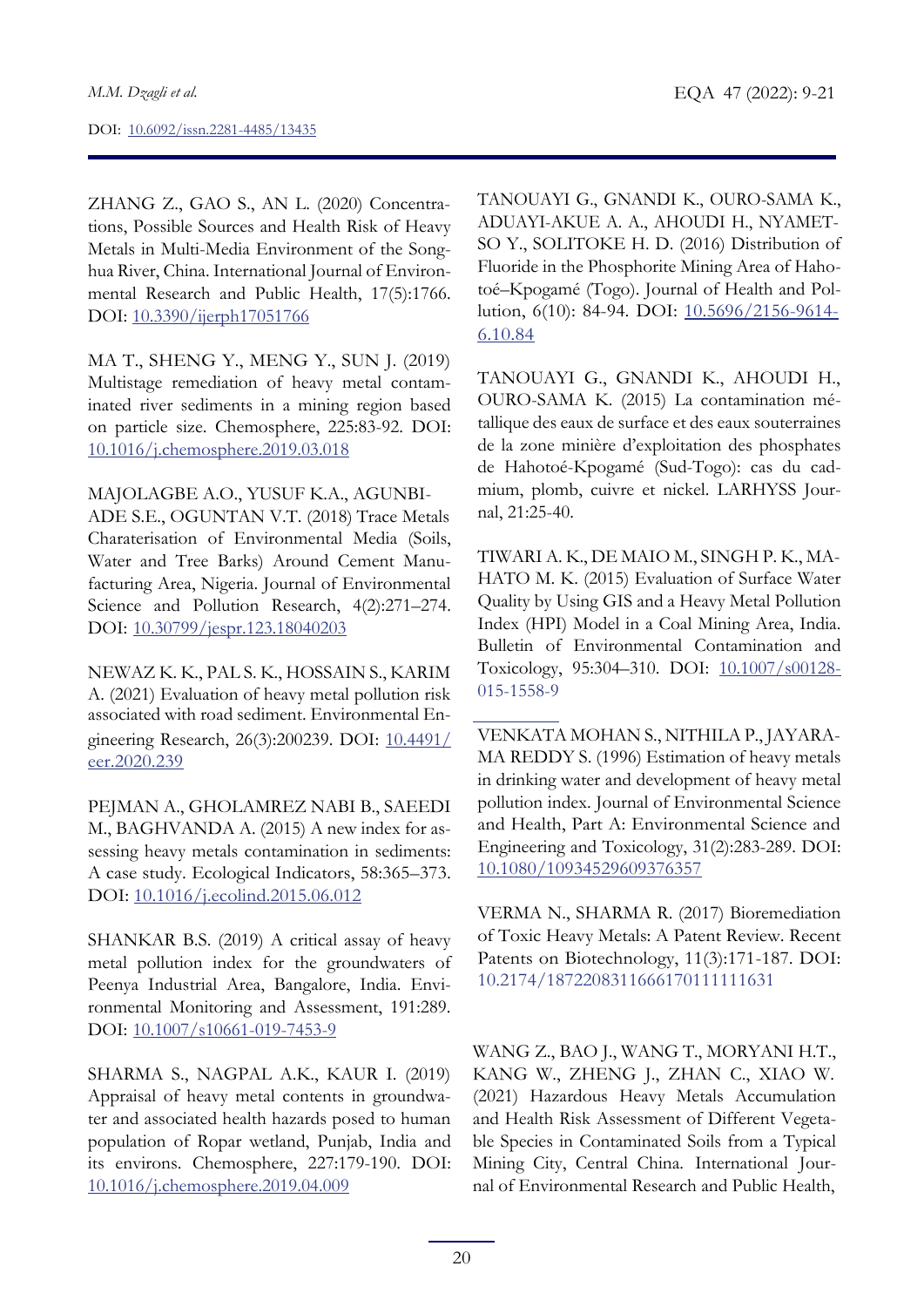ZHANG Z., GAO S., AN L. (2020) Concentrations, Possible Sources and Health Risk of Heavy Metals in Multi-Media Environment of the Songhua River, China. International Journal of Environmental Research and Public Health, 17(5):1766. DOI: [10.3390/ijerph17051766](https://doi.org/10.3390/ijerph17051766)

MA T., SHENG Y., MENG Y., SUN J. (2019) Multistage remediation of heavy metal contaminated river sediments in a mining region based on particle size. Chemosphere, 225:83-92. DOI: [10.1016/j.chemosphere.2019.03.018](https://doi.org/10.1016/j.chemosphere.2019.03.018)

MAJOLAGBE A.O., YUSUF K.A., AGUNBI-ADE S.E., OGUNTAN V.T. (2018) Trace Metals Charaterisation of Environmental Media (Soils, Water and Tree Barks) Around Cement Manufacturing Area, Nigeria. Journal of Environmental Science and Pollution Research, 4(2):271–274. DOI: [10.30799/jespr.123.18040203](https://doi.org/10.30799/jespr.123.18040203)

NEWAZ K. K., PAL S. K., HOSSAIN S., KARIM A. (2021) Evaluation of heavy metal pollution risk associated with road sediment. Environmental Engineering Research, 26(3):200239. DOI: [10.4491/](https://doi.org/10.4491/eer.2020.239) [eer.2020.239](https://doi.org/10.4491/eer.2020.239)

PEJMAN A., GHOLAMREZ NABI B., SAEEDI M., BAGHVANDA A. (2015) A new index for assessing heavy metals contamination in sediments: A case study. Ecological Indicators, 58:365–373. DOI: [10.1016/j.ecolind.2015.06.012](https://doi.org/10.1016/j.ecolind.2015.06.012)

SHANKAR B.S. (2019) A critical assay of heavy metal pollution index for the groundwaters of Peenya Industrial Area, Bangalore, India. Environmental Monitoring and Assessment, 191:289. DOI: [10.1007/s10661-019-7453-9](https://doi.org/10.1007/s10661-019-7453-9)

SHARMA S., NAGPAL A.K., KAUR I. (2019) Appraisal of heavy metal contents in groundwater and associated health hazards posed to human population of Ropar wetland, Punjab, India and its environs. Chemosphere, 227:179-190. DOI: [10.1016/j.chemosphere.2019.04.009](https://doi.org/10.1016/j.chemosphere.2019.04.009)

TANOUAYI G., GNANDI K., OURO-SAMA K., ADUAYI-AKUE A. A., AHOUDI H., NYAMET-SO Y., SOLITOKE H. D. (2016) Distribution of Fluoride in the Phosphorite Mining Area of Hahotoé–Kpogamé (Togo). Journal of Health and Pollution, 6(10): 84-94. DOI: [10.5696/2156-9614-](https://doi.org/10.5696/2156-9614-6.10.84) 6.10.84

TANOUAYI G., GNANDI K., AHOUDI H., OURO-SAMA K. (2015) La contamination métallique des eaux de surface et des eaux souterraines de la zone minière d'exploitation des phosphates de Hahotoé-Kpogamé (Sud-Togo): cas du cadmium, plomb, cuivre et nickel. LARHYSS Journal, 21:25-40.

TIWARI A. K., DE MAIO M., SINGH P. K., MA-HATO M. K. (2015) Evaluation of Surface Water Quality by Using GIS and a Heavy Metal Pollution Index (HPI) Model in a Coal Mining Area, India. Bulletin of Environmental Contamination and Toxicology, 95:304-310. DOI: [10.1007/s00128-](https://doi.org/10.1007/s00128-015-1558-9) 015-1558-9

VENKATA MOHAN S., NITHILA P., JAYARA-MA REDDY S. (1996) Estimation of heavy metals in drinking water and development of heavy metal pollution index. Journal of Environmental Science and Health, Part A: Environmental Science and Engineering and Toxicology, 31(2):283-289. DOI: 10.1080/10934529609376357

VERMA N., SHARMA R. (2017) Bioremediation of Toxic Heavy Metals: A Patent Review. Recent Patents on Biotechnology, 11(3):171-187. DOI: 10.2174/1872208311666170111111631

WANG Z., BAO J., WANG T., MORYANI H.T., KANG W., ZHENG J., ZHAN C., XIAO W. (2021) Hazardous Heavy Metals Accumulation and Health Risk Assessment of Different Vegetable Species in Contaminated Soils from a Typical Mining City, Central China. International Journal of Environmental Research and Public Health,